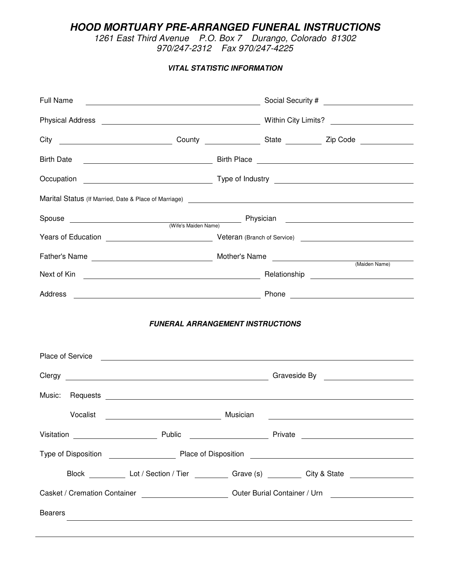*HOOD MORTUARY PRE-ARRANGED FUNERAL INSTRUCTIONS*

*1261 East Third Avenue P.O. Box 7 Durango, Colorado 81302 970/247-2312 Fax 970/247-4225*

*VITAL STATISTIC INFORMATION*

| Full Name                                                                                                                                                                                                                      |          |                                                                                                      |  |  |  |
|--------------------------------------------------------------------------------------------------------------------------------------------------------------------------------------------------------------------------------|----------|------------------------------------------------------------------------------------------------------|--|--|--|
|                                                                                                                                                                                                                                |          |                                                                                                      |  |  |  |
|                                                                                                                                                                                                                                |          |                                                                                                      |  |  |  |
| <b>Birth Date</b>                                                                                                                                                                                                              |          |                                                                                                      |  |  |  |
|                                                                                                                                                                                                                                |          |                                                                                                      |  |  |  |
| Marital Status (If Married, Date & Place of Marriage) 2022 12:00 12:00 12:00 12:00 12:00 12:00 12:00 12:00 12:00 12:00 12:00 12:00 12:00 12:00 12:00 12:00 12:00 12:00 12:00 12:00 12:00 12:00 12:00 12:00 12:00 12:00 12:00 1 |          |                                                                                                      |  |  |  |
|                                                                                                                                                                                                                                |          |                                                                                                      |  |  |  |
|                                                                                                                                                                                                                                |          |                                                                                                      |  |  |  |
|                                                                                                                                                                                                                                |          |                                                                                                      |  |  |  |
|                                                                                                                                                                                                                                |          |                                                                                                      |  |  |  |
|                                                                                                                                                                                                                                |          |                                                                                                      |  |  |  |
| <b>FUNERAL ARRANGEMENT INSTRUCTIONS</b>                                                                                                                                                                                        |          |                                                                                                      |  |  |  |
|                                                                                                                                                                                                                                |          |                                                                                                      |  |  |  |
| Clergy Clergy Clergy Contract Contract Contract Contract Contract Contract Contract Contract Contract Contract Contract Contract Contract Contract Contract Contract Contract Contract Contract Contract Contract Contract Con |          |                                                                                                      |  |  |  |
| Vocalist<br><u> Alexandria de la conte</u>                                                                                                                                                                                     | Musician |                                                                                                      |  |  |  |
|                                                                                                                                                                                                                                |          |                                                                                                      |  |  |  |
|                                                                                                                                                                                                                                |          |                                                                                                      |  |  |  |
|                                                                                                                                                                                                                                |          | Block ____________ Lot / Section / Tier ___________ Grave (s) __________ City & State ______________ |  |  |  |
| Casket / Cremation Container ________________________________Outer Burial Container / Urn ____________________                                                                                                                 |          |                                                                                                      |  |  |  |
| <b>Bearers</b>                                                                                                                                                                                                                 |          | <u> 1989 - Johann Stoff, amerikansk politiker (d. 1989)</u>                                          |  |  |  |